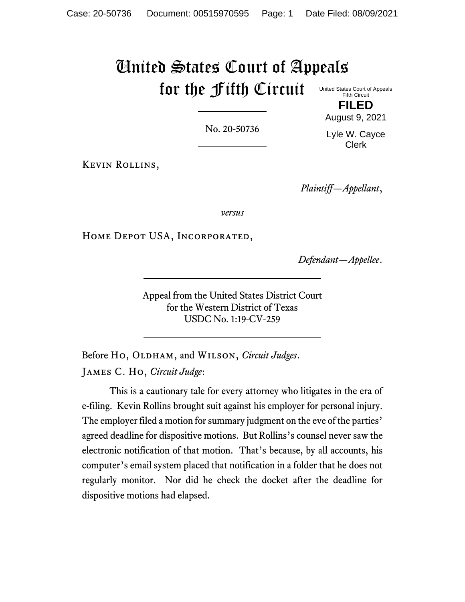# United States Court of Appeals for the Fifth Circuit United States Court of Appeals

Fifth Circuit **FILED**

No. 20-50736

Lyle W. Cayce Clerk

August 9, 2021

Kevin Rollins,

*Plaintiff—Appellant*,

*versus*

Home Depot USA, Incorporated,

*Defendant—Appellee*.

Appeal from the United States District Court for the Western District of Texas USDC No. 1:19-CV-259

Before Ho, OLDHAM, and WILSON, *Circuit Judges*. James C. Ho, *Circuit Judge*:

This is a cautionary tale for every attorney who litigates in the era of e-filing. Kevin Rollins brought suit against his employer for personal injury. The employer filed a motion for summary judgment on the eve of the parties' agreed deadline for dispositive motions. But Rollins's counsel never saw the electronic notification of that motion. That's because, by all accounts, his computer's email system placed that notification in a folder that he does not regularly monitor. Nor did he check the docket after the deadline for dispositive motions had elapsed.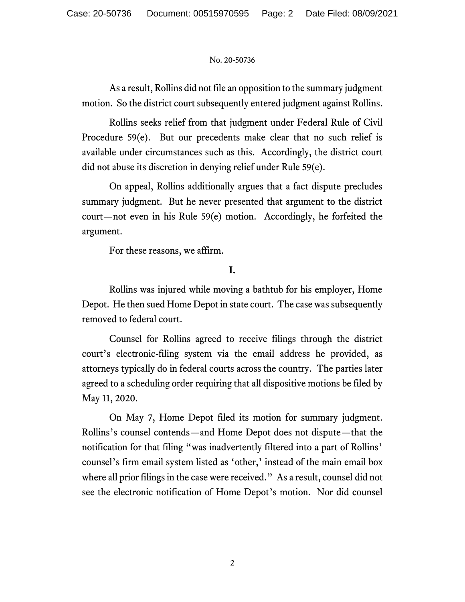As a result, Rollins did not file an opposition to the summary judgment motion. So the district court subsequently entered judgment against Rollins.

Rollins seeks relief from that judgment under Federal Rule of Civil Procedure 59(e). But our precedents make clear that no such relief is available under circumstances such as this. Accordingly, the district court did not abuse its discretion in denying relief under Rule 59(e).

On appeal, Rollins additionally argues that a fact dispute precludes summary judgment. But he never presented that argument to the district court—not even in his Rule 59(e) motion. Accordingly, he forfeited the argument.

For these reasons, we affirm.

# **I.**

Rollins was injured while moving a bathtub for his employer, Home Depot. He then sued Home Depot in state court. The case was subsequently removed to federal court.

Counsel for Rollins agreed to receive filings through the district court's electronic-filing system via the email address he provided, as attorneys typically do in federal courts across the country. The parties later agreed to a scheduling order requiring that all dispositive motions be filed by May 11, 2020.

On May 7, Home Depot filed its motion for summary judgment. Rollins's counsel contends—and Home Depot does not dispute—that the notification for that filing "was inadvertently filtered into a part of Rollins' counsel's firm email system listed as 'other,' instead of the main email box where all prior filings in the case were received." As a result, counsel did not see the electronic notification of Home Depot's motion. Nor did counsel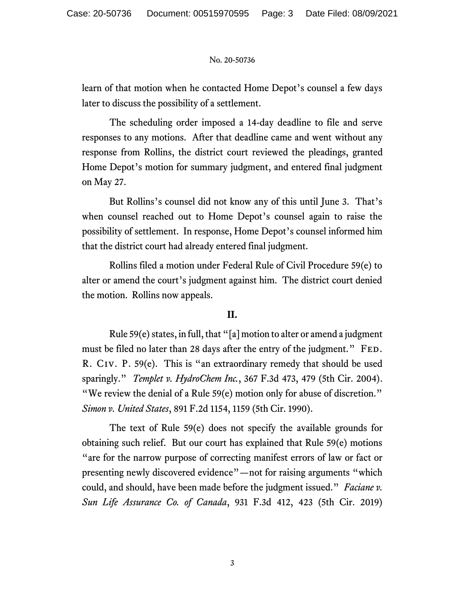learn of that motion when he contacted Home Depot's counsel a few days later to discuss the possibility of a settlement.

The scheduling order imposed a 14-day deadline to file and serve responses to any motions. After that deadline came and went without any response from Rollins, the district court reviewed the pleadings, granted Home Depot's motion for summary judgment, and entered final judgment on May 27.

But Rollins's counsel did not know any of this until June 3. That's when counsel reached out to Home Depot's counsel again to raise the possibility of settlement. In response, Home Depot's counsel informed him that the district court had already entered final judgment.

Rollins filed a motion under Federal Rule of Civil Procedure 59(e) to alter or amend the court's judgment against him. The district court denied the motion. Rollins now appeals.

# **II.**

Rule 59(e) states, in full, that "[a] motion to alter or amend a judgment must be filed no later than 28 days after the entry of the judgment." FED. R. Civ. P. 59(e). This is "an extraordinary remedy that should be used sparingly." *Templet v. HydroChem Inc.*, 367 F.3d 473, 479 (5th Cir. 2004). "We review the denial of a Rule 59(e) motion only for abuse of discretion." *Simon v. United States*, 891 F.2d 1154, 1159 (5th Cir. 1990).

The text of Rule 59(e) does not specify the available grounds for obtaining such relief. But our court has explained that Rule 59(e) motions "are for the narrow purpose of correcting manifest errors of law or fact or presenting newly discovered evidence"—not for raising arguments "which could, and should, have been made before the judgment issued." *Faciane v. Sun Life Assurance Co. of Canada*, 931 F.3d 412, 423 (5th Cir. 2019)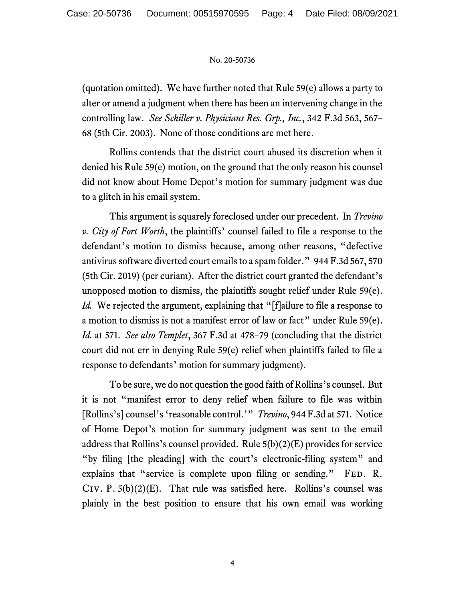(quotation omitted). We have further noted that Rule 59(e) allows a party to alter or amend a judgment when there has been an intervening change in the controlling law. *See Schiller v. Physicians Res. Grp., Inc.*, 342 F.3d 563, 567– 68 (5th Cir. 2003). None of those conditions are met here.

Rollins contends that the district court abused its discretion when it denied his Rule 59(e) motion, on the ground that the only reason his counsel did not know about Home Depot's motion for summary judgment was due to a glitch in his email system.

This argument is squarely foreclosed under our precedent. In *Trevino v. City of Fort Worth*, the plaintiffs' counsel failed to file a response to the defendant's motion to dismiss because, among other reasons, "defective antivirus software diverted court emails to a spam folder." 944 F.3d 567, 570 (5th Cir. 2019) (per curiam). After the district court granted the defendant's unopposed motion to dismiss, the plaintiffs sought relief under Rule 59(e). *Id.* We rejected the argument, explaining that "[f]ailure to file a response to a motion to dismiss is not a manifest error of law or fact" under Rule 59(e). *Id.* at 571. *See also Templet*, 367 F.3d at 478–79 (concluding that the district court did not err in denying Rule 59(e) relief when plaintiffs failed to file a response to defendants' motion for summary judgment).

To be sure, we do not question the good faith of Rollins's counsel. But it is not "manifest error to deny relief when failure to file was within [Rollins's] counsel's 'reasonable control.'" *Trevino*, 944 F.3d at 571. Notice of Home Depot's motion for summary judgment was sent to the email address that Rollins's counsel provided. Rule 5(b)(2)(E) provides for service "by filing [the pleading] with the court's electronic-filing system" and explains that "service is complete upon filing or sending." FED. R. Civ. P. 5(b)(2)(E). That rule was satisfied here. Rollins's counsel was plainly in the best position to ensure that his own email was working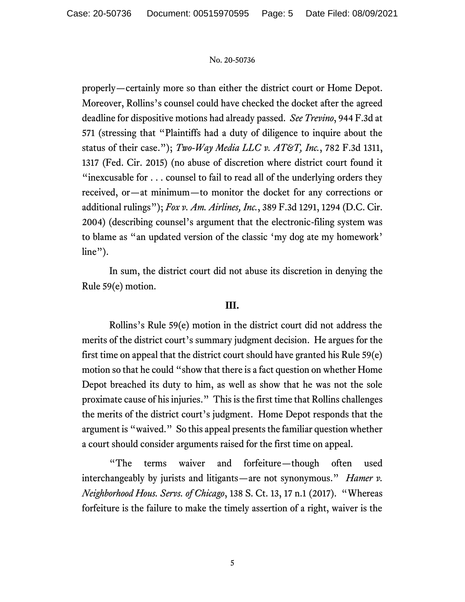properly—certainly more so than either the district court or Home Depot. Moreover, Rollins's counsel could have checked the docket after the agreed deadline for dispositive motions had already passed. *See Trevino*, 944 F.3d at 571 (stressing that "Plaintiffs had a duty of diligence to inquire about the status of their case."); *Two-Way Media LLC v. AT&T, Inc.*, 782 F.3d 1311, 1317 (Fed. Cir. 2015) (no abuse of discretion where district court found it "inexcusable for . . . counsel to fail to read all of the underlying orders they received, or—at minimum—to monitor the docket for any corrections or additional rulings"); *Fox v. Am. Airlines, Inc.*, 389 F.3d 1291, 1294 (D.C. Cir. 2004) (describing counsel's argument that the electronic-filing system was to blame as "an updated version of the classic 'my dog ate my homework' line").

In sum, the district court did not abuse its discretion in denying the Rule 59(e) motion.

# **III.**

Rollins's Rule 59(e) motion in the district court did not address the merits of the district court's summary judgment decision. He argues for the first time on appeal that the district court should have granted his Rule 59(e) motion so that he could "show that there is a fact question on whether Home Depot breached its duty to him, as well as show that he was not the sole proximate cause of his injuries." This is the first time that Rollins challenges the merits of the district court's judgment. Home Depot responds that the argument is "waived." So this appeal presents the familiar question whether a court should consider arguments raised for the first time on appeal.

"The terms waiver and forfeiture—though often used interchangeably by jurists and litigants—are not synonymous." *Hamer v. Neighborhood Hous. Servs. of Chicago*, 138 S. Ct. 13, 17 n.1 (2017). "Whereas forfeiture is the failure to make the timely assertion of a right, waiver is the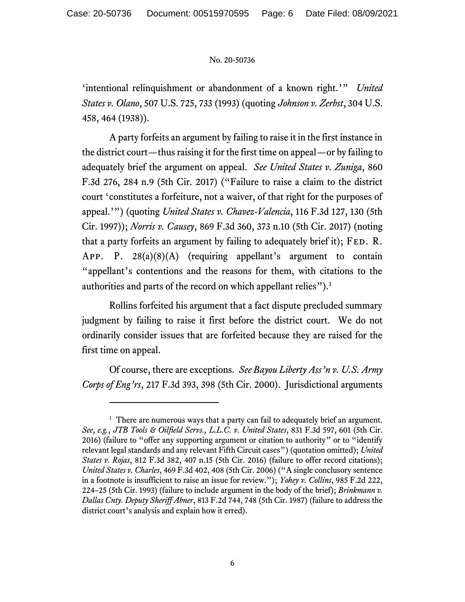'intentional relinquishment or abandonment of a known right.'" *United States v. Olano*, 507 U.S. 725, 733 (1993) (quoting *Johnson v. Zerbst*, 304 U.S. 458, 464 (1938)).

A party forfeits an argument by failing to raise it in the first instance in the district court—thus raising it for the first time on appeal—or by failing to adequately brief the argument on appeal. *See United States v. Zuniga*, 860 F.3d 276, 284 n.9 (5th Cir. 2017) ("Failure to raise a claim to the district court 'constitutes a forfeiture, not a waiver, of that right for the purposes of appeal.'") (quoting *United States v. Chavez-Valencia*, 116 F.3d 127, 130 (5th Cir. 1997)); *Norris v. Causey*, 869 F.3d 360, 373 n.10 (5th Cir. 2017) (noting that a party forfeits an argument by failing to adequately brief it); FED. R. APP. P. 28(a)(8)(A) (requiring appellant's argument to contain "appellant's contentions and the reasons for them, with citations to the authorities and parts of the record on which appellant relies"). $<sup>1</sup>$ </sup>

Rollins forfeited his argument that a fact dispute precluded summary judgment by failing to raise it first before the district court. We do not ordinarily consider issues that are forfeited because they are raised for the first time on appeal.

Of course, there are exceptions. *See Bayou Liberty Ass'n v. U.S. Army Corps of Eng'rs*, 217 F.3d 393, 398 (5th Cir. 2000). Jurisdictional arguments

<sup>&</sup>lt;sup>1</sup> There are numerous ways that a party can fail to adequately brief an argument. *See*, *e.g.*, *JTB Tools & Oilfield Servs., L.L.C. v. United States*, 831 F.3d 597, 601 (5th Cir. 2016) (failure to "offer any supporting argument or citation to authority" or to "identify relevant legal standards and any relevant Fifth Circuit cases") (quotation omitted); *United States v. Rojas*, 812 F.3d 382, 407 n.15 (5th Cir. 2016) (failure to offer record citations); *United States v. Charles*, 469 F.3d 402, 408 (5th Cir. 2006) ("A single conclusory sentence in a footnote is insufficient to raise an issue for review."); *Yohey v. Collins*, 985 F.2d 222, 224–25 (5th Cir. 1993) (failure to include argument in the body of the brief); *Brinkmann v. Dallas Cnty. Deputy Sheriff Abner*, 813 F.2d 744, 748 (5th Cir. 1987) (failure to address the district court's analysis and explain how it erred).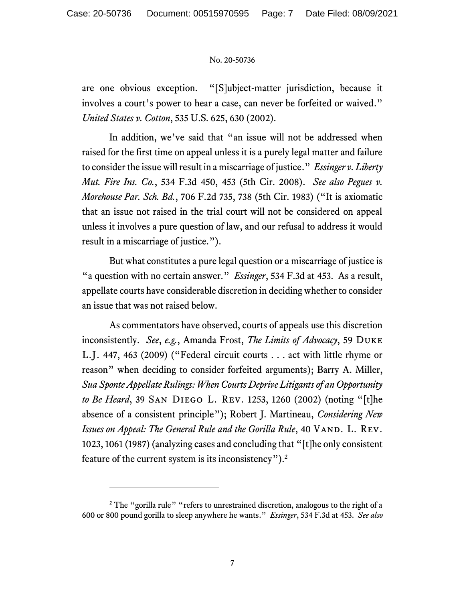are one obvious exception. "[S]ubject-matter jurisdiction, because it involves a court's power to hear a case, can never be forfeited or waived." *United States v. Cotton*, 535 U.S. 625, 630 (2002).

In addition, we've said that "an issue will not be addressed when raised for the first time on appeal unless it is a purely legal matter and failure to consider the issue will result in a miscarriage of justice." *Essinger v. Liberty Mut. Fire Ins. Co.*, 534 F.3d 450, 453 (5th Cir. 2008). *See also Pegues v. Morehouse Par. Sch. Bd.*, 706 F.2d 735, 738 (5th Cir. 1983) ("It is axiomatic that an issue not raised in the trial court will not be considered on appeal unless it involves a pure question of law, and our refusal to address it would result in a miscarriage of justice.").

But what constitutes a pure legal question or a miscarriage of justice is "a question with no certain answer." *Essinger*, 534 F.3d at 453. As a result, appellate courts have considerable discretion in deciding whether to consider an issue that was not raised below.

As commentators have observed, courts of appeals use this discretion inconsistently. *See*, *e.g.*, Amanda Frost, *The Limits of Advocacy*, 59 Duke L.J. 447, 463 (2009) ("Federal circuit courts . . . act with little rhyme or reason" when deciding to consider forfeited arguments); Barry A. Miller, *Sua Sponte Appellate Rulings: When Courts Deprive Litigants of an Opportunity to Be Heard*, 39 San Diego L. Rev. 1253, 1260 (2002) (noting "[t]he absence of a consistent principle"); Robert J. Martineau, *Considering New Issues on Appeal: The General Rule and the Gorilla Rule*, 40 VAND. L. REV. 1023, 1061 (1987) (analyzing cases and concluding that "[t]he only consistent feature of the current system is its inconsistency").<sup>2</sup>

<sup>&</sup>lt;sup>2</sup> The "gorilla rule" "refers to unrestrained discretion, analogous to the right of a 600 or 800 pound gorilla to sleep anywhere he wants." *Essinger*, 534 F.3d at 453. *See also*